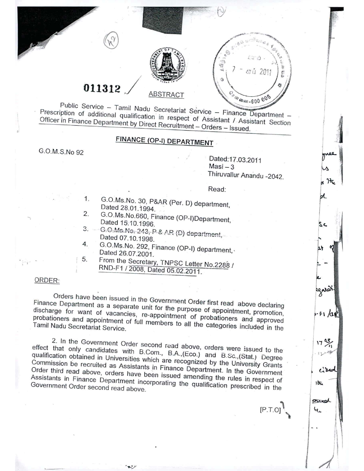

# 011312 / <u>ABSTRACT</u>

Public Service - Tamil Nadu Secretariat Service - Finance Department - $P_{\text{P}}$  Service - Tamil Nadu Secretariat Service - Finance Department  $\frac{1}{2}$ Prescription of additional qualification in respect of Assistant *I* Assistant Construction **<u>***CHICCE IIIT INANCE Department*</u> by Direct Recruitment – Orders Lesse.

## FINANCE (OP-I) DEPARTMENT

G.O.M.S.No 92

Dated:17.03,2011  $Masi-3$ Thiruvallur Anandu -2042. *f*,

!

I

I

.<br>بيا I ~1~

ЫL

 $s$   $\epsilon$ 

. -

garar.

 $-F1$   $48$ 

وہ 17

cibe

広

grad f

 $\mathbf{r}$ 

 $[P.T.0]$ 

"- \ i I

 $\begin{bmatrix} 1 & 1 \\ 1 & 1 \end{bmatrix}$ gne<br>g

Read:

- 1. 2. G.O,Ms.No. 30, P&AR (Per. D) department, Dated 28.01.1994.
- G.O.Ms,No.660, Finance (OP-I)Department, Dated 15.10.1996,
- 3. 4. G:O;~1s;N3:.~43,.P.&,*I\R* **(D) department,\_** Dated 07.10.1998.
- I 5. G.O.Ms.No, 292, Finance (OP-I) department,' Dated 26.07.2001,
- From the Secretary, TNPSC Letter NO.2288*I* RND-F1 *12008,* Dated 05.02.2011,

#### ORDER:

Orders have been issued in the Government Order first read above declaring Finance Department as a separate unit for the purpose of appointment, promotion, discharge for want of vacancies, re-appointment of probationers and approved probationers and appointment of full members to all the categories included in the

2. In the Government Order second read above, orders were issued to the effect that only candidates with B.Com., B.A.,(Eco.) and B.Sc.,(Stat.) Degree qualification obtained in Universities which are recognized by the University Grants Commission be recruited as Assistants in Finance Department. In the Government Order third read above, orders have been issued amending the rules in respect of Assistants in Finance Department incorporating the qualification prescribed in the Government Order second read above.